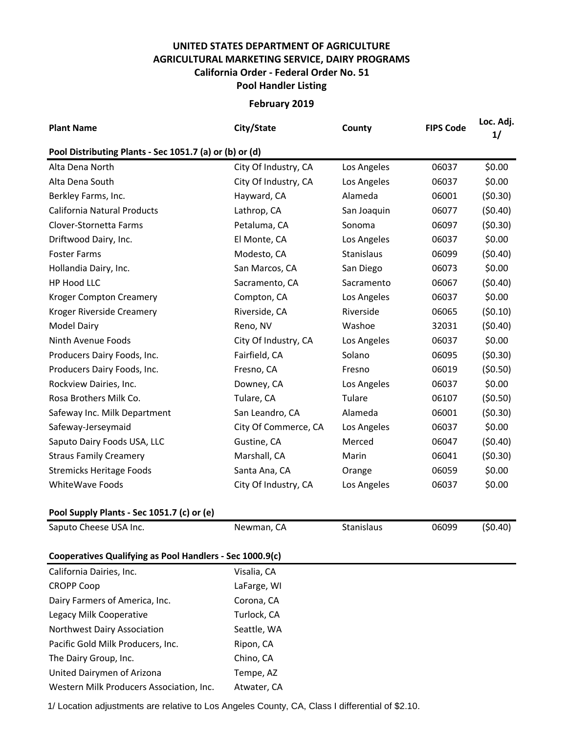## **UNITED STATES DEPARTMENT OF AGRICULTURE AGRICULTURAL MARKETING SERVICE, DAIRY PROGRAMS Pool Handler Listing California Order - Federal Order No. 51**

**February 2019**

| <b>Plant Name</b>                                        | City/State           | County      | <b>FIPS Code</b> | Loc. Adj.<br>1/ |
|----------------------------------------------------------|----------------------|-------------|------------------|-----------------|
| Pool Distributing Plants - Sec 1051.7 (a) or (b) or (d)  |                      |             |                  |                 |
| Alta Dena North                                          | City Of Industry, CA | Los Angeles | 06037            | \$0.00          |
| Alta Dena South                                          | City Of Industry, CA | Los Angeles | 06037            | \$0.00          |
| Berkley Farms, Inc.                                      | Hayward, CA          | Alameda     | 06001            | (50.30)         |
| California Natural Products                              | Lathrop, CA          | San Joaquin | 06077            | (50.40)         |
| Clover-Stornetta Farms                                   | Petaluma, CA         | Sonoma      | 06097            | (50.30)         |
| Driftwood Dairy, Inc.                                    | El Monte, CA         | Los Angeles | 06037            | \$0.00          |
| <b>Foster Farms</b>                                      | Modesto, CA          | Stanislaus  | 06099            | (50.40)         |
| Hollandia Dairy, Inc.                                    | San Marcos, CA       | San Diego   | 06073            | \$0.00          |
| HP Hood LLC                                              | Sacramento, CA       | Sacramento  | 06067            | (50.40)         |
| <b>Kroger Compton Creamery</b>                           | Compton, CA          | Los Angeles | 06037            | \$0.00          |
| Kroger Riverside Creamery                                | Riverside, CA        | Riverside   | 06065            | (50.10)         |
| <b>Model Dairy</b>                                       | Reno, NV             | Washoe      | 32031            | (50.40)         |
| Ninth Avenue Foods                                       | City Of Industry, CA | Los Angeles | 06037            | \$0.00          |
| Producers Dairy Foods, Inc.                              | Fairfield, CA        | Solano      | 06095            | (50.30)         |
| Producers Dairy Foods, Inc.                              | Fresno, CA           | Fresno      | 06019            | (50.50)         |
| Rockview Dairies, Inc.                                   | Downey, CA           | Los Angeles | 06037            | \$0.00          |
| Rosa Brothers Milk Co.                                   | Tulare, CA           | Tulare      | 06107            | (50.50)         |
| Safeway Inc. Milk Department                             | San Leandro, CA      | Alameda     | 06001            | (50.30)         |
| Safeway-Jerseymaid                                       | City Of Commerce, CA | Los Angeles | 06037            | \$0.00          |
| Saputo Dairy Foods USA, LLC                              | Gustine, CA          | Merced      | 06047            | (50.40)         |
| <b>Straus Family Creamery</b>                            | Marshall, CA         | Marin       | 06041            | (50.30)         |
| <b>Stremicks Heritage Foods</b>                          | Santa Ana, CA        | Orange      | 06059            | \$0.00          |
| WhiteWave Foods                                          | City Of Industry, CA | Los Angeles | 06037            | \$0.00          |
| Pool Supply Plants - Sec 1051.7 (c) or (e)               |                      |             |                  |                 |
| Saputo Cheese USA Inc.                                   | Newman, CA           | Stanislaus  | 06099            | (50.40)         |
| Cooperatives Qualifying as Pool Handlers - Sec 1000.9(c) |                      |             |                  |                 |
| California Dairies, Inc.                                 | Visalia, CA          |             |                  |                 |
| <b>CROPP Coop</b>                                        | LaFarge, WI          |             |                  |                 |
| Dairy Farmers of America, Inc.                           | Corona, CA           |             |                  |                 |
| Legacy Milk Cooperative                                  | Turlock, CA          |             |                  |                 |
| Northwest Dairy Association                              | Seattle, WA          |             |                  |                 |
| Pacific Gold Milk Producers, Inc.                        | Ripon, CA            |             |                  |                 |
| The Dairy Group, Inc.                                    | Chino, CA            |             |                  |                 |
| United Dairymen of Arizona                               | Tempe, AZ            |             |                  |                 |
| Western Milk Producers Association, Inc.                 | Atwater, CA          |             |                  |                 |

1/ Location adjustments are relative to Los Angeles County, CA, Class I differential of \$2.10.